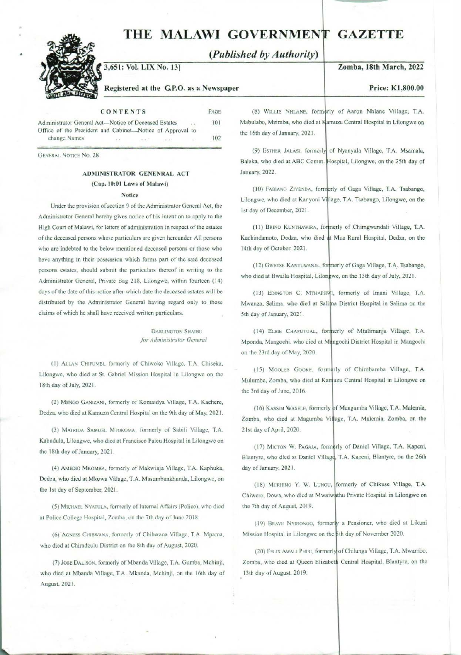## THE MALAWI GOVERNMENT GAZETTE THE MALAWI GOVI THE MALAWI GOVE<br>(*Published b*<br>3,651: Vol. LIX No. 13]<br>Registered at the G.P.O. as a Newspaper



(Published by Authority)

### Zomba, 18th March, 2022

## Registered at the GP.O. as a Newspaper

| CONTENTS | PAGE |
|----------|------|

| Administrator General Act-Notice of Deceased Estates |  |  |                                                           |  |                | $-114$  | 101         |      |     |  |
|------------------------------------------------------|--|--|-----------------------------------------------------------|--|----------------|---------|-------------|------|-----|--|
|                                                      |  |  | Office of the President and Cabinet—Notice of Approval to |  |                |         |             |      |     |  |
|                                                      |  |  | change Names                                              |  | $\alpha$ ), is | $-1.14$ | STATISTICS. | $+1$ | 102 |  |
|                                                      |  |  |                                                           |  |                |         |             |      |     |  |

GENERAL Notice No. 28

### ADMINISTRATOR GENENRAL ACT (Cap. 10:01 Laws of Malawi)

### Notice

Under the provision of section 9 of the Administrator General Act, the Administrator General hereby gives notice of his intention to apply to the High Court of Malawi, for letters of administration in respect of the estates of the deceased persons whose particulars are given hereunder. All persons who are indebted to the below mentioned deceased persons or those who have anything in their possession which forms part of the said deceased persons estates, should submit the particulars thereof in writing to the Administrator General, Private Bag 218, Lilongwe, within fourteen (14) days of the date of this notice after which date the deceased estates will be distributed by the Administrator General having regard only to those claims of which he shall have received written particulars.

> DARLINGTON SHAIBU for Administrator General

(1) ALLAN CHIFUMBI, formerly of Chiwoko Village, T.A. Chiseka, Lilongwe, who died at St. Gabriel Mission Hospital in Lilongwe on the 18th day of July, 2021.

(2) MENGO Ganizanl, formerly of Komaidya Village, T.A. Kachere, Dedza, who died at Kamuzu Central Hospital on the 9th day of May, 2021.

(3) Matripa SAMUEL MTokoma, formerly of Sabili Village, T.A. Kabudula, Lilongwe, who died at Francisco Paleu Hospital in Lilongwe on the 18th day of January, 2021

(4) AMEDIO Mxomsa, formerly of Makwinja Village, T.A. Kaphuka, Dedza, who died at Mkowa Village, T.A. Masumbankhunda, Lilongwe, on the Ist day of September, 2021.

(5) MicHAEL NyATULA, formerly of Internal Affairs (Police), who died at Police College Hospital, Zomba, on the 7th day of June 2018.

(6) AGNESS CHIBWANA, formerly of Chibwana Village, T.A. Mpama, who died at Chiradzulu District on the 8th day of August, 2020.

(7) Jost DALISON, formerly of Mbanda Village, T.A. Gumba, Mchinji, who died at Mbanda Village, T.A. Mkanda, Mchinji, on the 16th day of August, 2021.

Price: K1,800.00

(8) Witite NHLANE, formerly of Aaron Nhlane Village, T.A. Mabulabo, Mzimba, who died at Kamuzu Central Hospital in Lilongwe on the 16th day of January, 2021.

(9) Estier JALAsI, formerly of Nyanyala Village, T.A. Msamala, Balaka, who died at ABC Comm. |Hospital, Lilongwe, on the 25th day of January, 2022.

(10) FABIANO ZIYENDA, formerly of Gaga Village, T.A. Tsabango, Lilongwe, who died at Kanyoni Village, T.A. Tsabango, Lilongwe, on the Ist day of December, 2021.

(11) Brno KunTHawira, formerly of Chimgwandali Village, T.A. Kachindamoto, Dedza, who died 4t Mua Rural Hospital, Dedza, on the 14th day of October, 2021.

(12) GWETSE KANTUWANJE, formerly of Gaga Village, T.A. Tsabango, who died at Bwaila Hospital, Lilongwe, on the 13th day of July, 2021.

(13) Epincton C. MTHAPHWI, formerly of Imani Village, T.A. Mwanza, Salima, who died at Salima District Hospital in Salima on the Sth day of January, 2021.

(14) ELSIE CHAPUTUAL, formerly of Mtalimanja Village, T.A. Mponda, Mangochi, who died at Mangochi District Hospital in Mangochi on the 23rd day of May, 2020.

(15) MOOLES GOOKE, formerly of Chimbamba Village, T.A. Mulumbe, Zomba, who died at Karnuzu Central Hospital in Lilongwe on the 3rd day of June, 2016.

(16) Kassim WaSELE, formerly pf Mangumba Village, T.A. Malemia, Zomba, who died at Magumba Village, T.A. Malemia, Zomba, on the 21st day of April, 2020.

(17) Micron W. Pagala, formerly of Daniel Village, T.A. Kapeni, Blantyre, who died at Daniel Villagd, T.A. Kapeni, Blantyre, on the 26th day of January, 2021.

(18) Mcruino Y. W. Lunau, formerly of Chikuse Village, T.A. Chiwere, Dowa, who died at Mwaiwathu Private Hospital in Lilongwe on the 7th day of August, 2019,

(19) BRAVE NYIRONGO, formerly a Pensioner, who died at Likuni Mission Hospital in Lilongwe on the Bih day of November 2020.

(20) FeLix AWAL! Puiri, formerlyof Chilunga Village, T.A. Mwambo, Zomba, who died at Queen Elizabeth Central Hospital, Blantyre, on the 13th day of August, 2019.